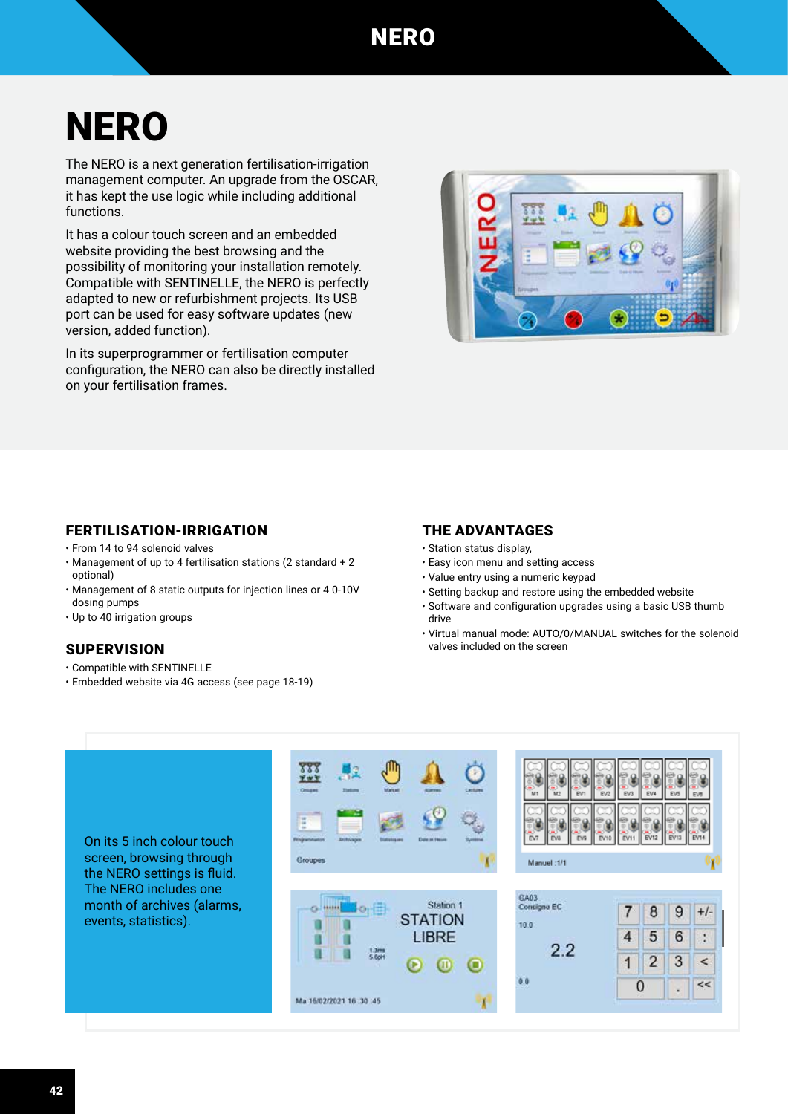# **NERO**

The NERO is a next generation fertilisation-irrigation management computer. An upgrade from the OSCAR, it has kept the use logic while including additional functions.

It has a colour touch screen and an embedded website providing the best browsing and the possibility of monitoring your installation remotely. Compatible with SENTINELLE, the NERO is perfectly adapted to new or refurbishment projects. Its USB port can be used for easy software updates (new version, added function).

In its superprogrammer or fertilisation computer configuration, the NERO can also be directly installed on your fertilisation frames.



## FERTILISATION-IRRIGATION

- From 14 to 94 solenoid valves
- Management of up to 4 fertilisation stations (2 standard + 2 optional)
- Management of 8 static outputs for injection lines or 4 0-10V dosing pumps
- Up to 40 irrigation groups

## **SUPERVISION**

- Compatible with SENTINELLE
- Embedded website via 4G access (see page 18-19)

## THE ADVANTAGES

- Station status display,
- Easy icon menu and setting access
- Value entry using a numeric keypad
- Setting backup and restore using the embedded website
- Software and configuration upgrades using a basic USB thumb drive
- Virtual manual mode: AUTO/0/MANUAL switches for the solenoid valves included on the screen